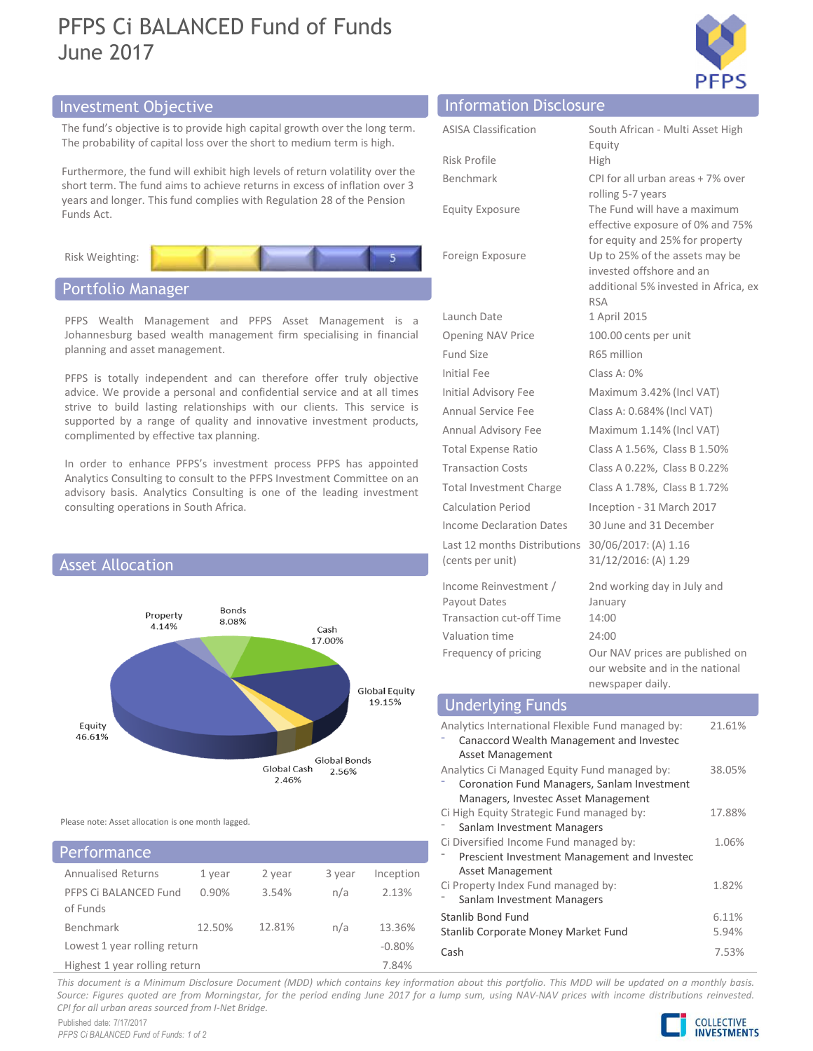## PFPS Ci BALANCED Fund of Funds June 2017



## Investment Objective



## Portfolio Manager



| Performance                       |          |        |        |           | Ci Diversified Income Fund managed by:<br>Prescient Investment Management and Invested |  |
|-----------------------------------|----------|--------|--------|-----------|----------------------------------------------------------------------------------------|--|
| <b>Annualised Returns</b>         | 1 vear   | 2 year | 3 year | Inception | Asset Management                                                                       |  |
| PFPS Ci BALANCED Fund<br>of Funds | $0.90\%$ | 3.54%  | n/a    | 2.13%     | Ci Property Index Fund managed by:<br>Sanlam Investment Managers                       |  |
| Benchmark                         | 12.50%   | 12.81% |        | 13.36%    | Stanlib Bond Fund                                                                      |  |
|                                   |          |        | n/a    |           | Stanlib Corporate Money Market Fund                                                    |  |
| Lowest 1 year rolling return      |          |        |        | $-0.80\%$ | Cash                                                                                   |  |
| Highest 1 year rolling return     |          |        |        | 7.84%     |                                                                                        |  |

| PFPS Ci BALANCED Fund of Funds<br>lune 2017                                                                                                                                                                                        |                                                   | <b>PFPS</b>                                                                                         |
|------------------------------------------------------------------------------------------------------------------------------------------------------------------------------------------------------------------------------------|---------------------------------------------------|-----------------------------------------------------------------------------------------------------|
| nvestment Objective                                                                                                                                                                                                                | <b>Information Disclosure</b>                     |                                                                                                     |
| The fund's objective is to provide high capital growth over the long term.<br>The probability of capital loss over the short to medium term is high.                                                                               | <b>ASISA Classification</b><br>Risk Profile       | South African - Multi Asset High<br>Equity<br><b>High</b>                                           |
| urthermore, the fund will exhibit high levels of return volatility over the<br>short term. The fund aims to achieve returns in excess of inflation over 3<br>ears and longer. This fund complies with Regulation 28 of the Pension | Benchmark                                         | CPI for all urban areas + 7% over<br>rolling 5-7 years                                              |
| unds Act.                                                                                                                                                                                                                          | <b>Equity Exposure</b>                            | The Fund will have a maximum<br>effective exposure of 0% and 75%<br>for equity and 25% for property |
| Risk Weighting:                                                                                                                                                                                                                    | Foreign Exposure                                  | Up to 25% of the assets may be<br>invested offshore and an<br>additional 5% invested in Africa, ex  |
| Portfolio Manager                                                                                                                                                                                                                  |                                                   | <b>RSA</b>                                                                                          |
| PFPS Wealth Management and PFPS Asset Management is a                                                                                                                                                                              | Launch Date                                       | 1 April 2015                                                                                        |
| Johannesburg based wealth management firm specialising in financial<br>planning and asset management.                                                                                                                              | Opening NAV Price<br>Fund Size                    | 100.00 cents per unit<br>R65 million                                                                |
| PFPS is totally independent and can therefore offer truly objective                                                                                                                                                                | Initial Fee                                       | Class A: 0%                                                                                         |
| advice. We provide a personal and confidential service and at all times<br>strive to build lasting relationships with our clients. This service is                                                                                 | Initial Advisory Fee                              | Maximum 3.42% (Incl VAT)                                                                            |
| supported by a range of quality and innovative investment products,                                                                                                                                                                | Annual Service Fee                                | Class A: 0.684% (Incl VAT)                                                                          |
| complimented by effective tax planning.                                                                                                                                                                                            | Annual Advisory Fee<br><b>Total Expense Ratio</b> | Maximum 1.14% (Incl VAT)<br>Class A 1.56%, Class B 1.50%                                            |
| In order to enhance PFPS's investment process PFPS has appointed                                                                                                                                                                   | <b>Transaction Costs</b>                          | Class A 0.22%, Class B 0.22%                                                                        |
| Analytics Consulting to consult to the PFPS Investment Committee on an                                                                                                                                                             | <b>Total Investment Charge</b>                    | Class A 1.78%, Class B 1.72%                                                                        |
| advisory basis. Analytics Consulting is one of the leading investment<br>consulting operations in South Africa.                                                                                                                    | <b>Calculation Period</b>                         | Inception - 31 March 2017                                                                           |
|                                                                                                                                                                                                                                    | Income Declaration Dates                          | 30 June and 31 December                                                                             |
|                                                                                                                                                                                                                                    | Last 12 months Distributions                      | 30/06/2017: (A) 1.16                                                                                |
| <b>Asset Allocation</b>                                                                                                                                                                                                            | (cents per unit)                                  | 31/12/2016: (A) 1.29                                                                                |
| Bonds                                                                                                                                                                                                                              | Income Reinvestment /<br>Payout Dates             | 2nd working day in July and<br>January                                                              |
| Property<br>8.08%<br>4.14%<br>Cash                                                                                                                                                                                                 | Transaction cut-off Time                          | 14:00                                                                                               |
| 17.00%                                                                                                                                                                                                                             | Valuation time<br>Frequency of pricing            | 24:00<br>Our NAV prices are published on<br>our website and in the national                         |
| Global Equity                                                                                                                                                                                                                      |                                                   | newspaper daily.                                                                                    |
| 19.15%                                                                                                                                                                                                                             | <b>Underlying Funds</b>                           |                                                                                                     |

| Income Reinvestment /    | 2nd working day in July and     |
|--------------------------|---------------------------------|
| Payout Dates             | January                         |
| Transaction cut-off Time | 14:00                           |
| Valuation time           | 24:00                           |
| Frequency of pricing     | Our NAV prices are published on |
|                          | our website and in the national |
|                          | newspaper daily.                |

## Underlying Funds

| consulting operations in South Africa.<br><b>Calculation Period</b><br>Inception - 31 March 2017                                                                                    |                                                                                                                                                        |  |
|-------------------------------------------------------------------------------------------------------------------------------------------------------------------------------------|--------------------------------------------------------------------------------------------------------------------------------------------------------|--|
|                                                                                                                                                                                     |                                                                                                                                                        |  |
| 30 June and 31 December<br>Income Declaration Dates                                                                                                                                 |                                                                                                                                                        |  |
| Last 12 months Distributions 30/06/2017: (A) 1.16                                                                                                                                   |                                                                                                                                                        |  |
| 31/12/2016: (A) 1.29<br>(cents per unit)<br><b>Asset Allocation</b>                                                                                                                 |                                                                                                                                                        |  |
| Income Reinvestment /<br>2nd working day in July and                                                                                                                                |                                                                                                                                                        |  |
| Payout Dates<br>January<br>Bonds                                                                                                                                                    |                                                                                                                                                        |  |
| Property<br><b>Transaction cut-off Time</b><br>14:00<br>8.08%<br>4.14%<br>Cash                                                                                                      |                                                                                                                                                        |  |
| Valuation time<br>24:00<br>17.00%                                                                                                                                                   |                                                                                                                                                        |  |
| Frequency of pricing<br>Our NAV prices are published on                                                                                                                             |                                                                                                                                                        |  |
| newspaper daily.                                                                                                                                                                    | our website and in the national                                                                                                                        |  |
| Global Equity<br>19.15%                                                                                                                                                             |                                                                                                                                                        |  |
| <b>Underlying Funds</b>                                                                                                                                                             |                                                                                                                                                        |  |
| Equity<br>Analytics International Flexible Fund managed by:<br>46.61%<br>Canaccord Wealth Management and Investec<br>Asset Management                                               | 21.61%                                                                                                                                                 |  |
| Global Bonds<br>Global Cash<br>Analytics Ci Managed Equity Fund managed by:<br>2.56%<br>2.46%<br>Coronation Fund Managers, Sanlam Investment<br>Managers, Investec Asset Management | 38.05%                                                                                                                                                 |  |
| Ci High Equity Strategic Fund managed by:<br>Please note: Asset allocation is one month lagged.<br>Sanlam Investment Managers                                                       | 17.88%                                                                                                                                                 |  |
| Ci Diversified Income Fund managed by:<br>Performance<br>Prescient Investment Management and Investec                                                                               | 1.06%                                                                                                                                                  |  |
| <b>Asset Management</b><br><b>Annualised Returns</b><br>Inception<br>1 year<br>2 year<br>3 year<br>Ci Property Index Fund managed by:                                               | 1.82%                                                                                                                                                  |  |
| PFPS Ci BALANCED Fund<br>0.90%<br>3.54%<br>n/a<br>2.13%<br>Sanlam Investment Managers<br>of Funds                                                                                   |                                                                                                                                                        |  |
| Stanlib Bond Fund<br>12.50%<br>Benchmark<br>12.81%<br>n/a<br>13.36%                                                                                                                 | 6.11%                                                                                                                                                  |  |
| Stanlib Corporate Money Market Fund<br>Lowest 1 year rolling return<br>$-0.80%$                                                                                                     | 5.94%                                                                                                                                                  |  |
| Cash<br>Highest 1 year rolling return<br>7.84%                                                                                                                                      | 7.53%                                                                                                                                                  |  |
|                                                                                                                                                                                     | This document is a Minimum Disclosure Document (MDD) which contains key information about this portfolio. This MDD will be updated on a monthly basis. |  |